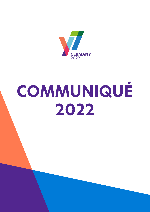

# **COMMUNIQUÉ 2022**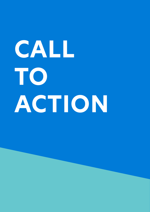# **CALL TO ACTION**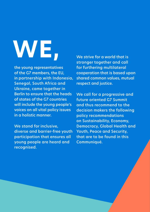# **WE,**

the young representatives of the G7 members, the EU, in partnership with Indonesia, Senegal, South Africa and Ukraine, came together in Berlin to ensure that the heads of states of the G7 countries will include the young people's voices on all vital policy issues in a holistic manner.

We stand for inclusive, diverse and barrier-free youth participation that ensures all young people are heard and recognised.

We strive for a world that is stronger together and call for furthering multilateral cooperation that is based upon shared common values, mutual respect and justice.

We call for a progressive and future oriented G7 Summit and thus recommend to the decision makers the following policy recommendations on Sustainability, Economy, Democracy, Global Health and Youth, Peace and Security, that are to be found in this Communiqué.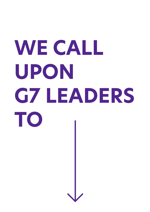# **WE CALL UPON G7 LEADERS TO**

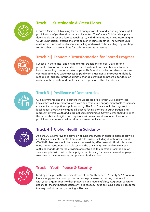

# **Track 1 | Sustainable & Green Planet**

Create a Climate Club aiming for a just energy transition and including meaningful participation of youth and those most impacted. The Climate Club's carbon price floor should be set at a level to reach 1.5 °C, with differentiated prices, according to CBDR-RC principles, putting the onus on high-income countries. The Climate Club must include international revenue recycling and avoid carbon leakage by creating tariffs rather than exemptions for carbon-intensive industries.



# **Track 2 | Economic Transformation for Shared Progress**

Succeed in the digital and environmental transitions of jobs. Develop and promote strong partnerships between educational and scientific institutions, industry-leading companies, start-ups, MSMEs, and social enterprises to ensure young people have wider access to paid work placements. Introduce a globally recognised, science-informed climate change certification program for decisionmakers in the private and public sectors to promote ethical leadership.



## **Track 3 | Resilience of Democracies**

G7 governments and their partners should create arms-length Civil Society Task Forces that will implement tailored communication and engagement tools to increase community participation in policy-making. The Task Force should be cognisant of local needs, proactively engage all citizens facing barriers to participation, and represent diverse youth and marginalised communities. Governments should finance the accessibility of digital and physical environments and economically enable participation to ensure deliberation processes are inclusive.



## **Track 4 | Global Health & Solidarity**

As per SDG 3.4, improve the provision of support services in order to address growing challenges on mental health from particular crises, including climate anxiety and COVID-19. Services should be universal, accessible, effective and affordable across educational institutions, workplaces and the community. National requirements outlining standards for the provision of mental health education from the age of seven, coupled with national campaigns and training for universities and employers, to address structural causes and prevent discrimination.



## **Track | Youth, Peace & Security**

Lead by example in the implementation of the Youth, Peace & Security (YPS) agenda. From young people's participation in peace processes and strong partnerships with youth organisations to their protection and meaningful (re)integration, concrete actions for the institutionalisation of YPS is needed. Focus on young people in response to every conflict and war, including in Ukraine.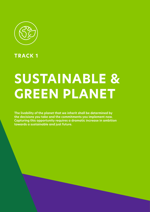

**TRACK 1**

# **SUSTAINABLE & GREEN PLANET**

**The livability of the planet that we inherit shall be determined by the decisions you take and the commitments you implement now. Capturing this opportunity requires a dramatic increase in ambition towards a sustainable and just future.**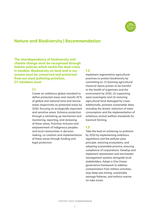

# **Nature and Biodiversity | Recommendation**

**The interdependency of biodiversity and climate change must be recognised through holistic policies which tackle the dual crises in tandem. Biodiversity on land and in our oceans must be conserved and protected from our most polluting activities. G7 members must:** 

#### **1.1**

Create an ambitious global standard to define protected areas and classify 30 % of global and national land and marine areas respectively as protected areas by 2030, focusing on ecologically important and sensitive areas. Enhance protection through a ratcheting up mechanism and monitoring, reporting, and reviewing of these areas. Prioritise inclusion and empowerment of Indigenous peoples and local communities in decisionmaking, co-creation and implementation of these areas through funding and legal protection.

#### **1.2**

Implement regenerative agricultural practices to protect biodiversity by committing to: (1) banning agricultural chemical inputs proven to be harmful to the health of organisms and the environment by 2030, (2) supporting seed sovereignty and (3) restoring agricultural land damaged by crises. Additionally, promote sustainable diets, including the drastic reduction of meat consumption and the implementation of ambitious animal welfare standards for livestock farming.

#### **1.3**

Take the lead on achieving no pollution by 2050 by implementing ambitious regulations and the polluter pays principle, restoring ecosystems, and adopting sustainable practice, ensuring compliance of corporations. Develop and implement wastewater and stormwater management systems alongside local stakeholders. Adopt a One Ocean governance framework to address contamination from military activities, stop deep sea mining, sustainably manage fisheries, and enforce marine no-take zones.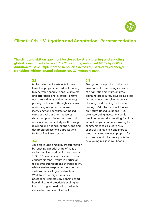

# **Climate Crisis Mitigation and Adaptation | Recommendation**

**The climate ambition gap must be closed by strengthening and enacting global commitments to reach 1.5 °C, including enhanced NDCs by COP27. Ambition must be implemented in policies across a just and rapid energy transition, mitigation,and adaptation. G7 members must:** 

#### **2.1**

Make no further investments in new fossil fuel projects and redirect funding to renewable energy to ensure universal and affordable energy supply. Ensure a just transition by addressing energy poverty and security through measures addressing rising prices, energy inefficiency and consumption-based emissions. All transition measures should support affected workers and communities, particularly youth, through reskilling and financial support, and find decarbonised economic applications for fossil fuel infrastructure.

#### **2.2**

Accelerate urban mobility transformation by reaching a modal share of 80 % of cycling, walking and public transport by 2030. G7 members must incentivise and educate citizens — youth in particular to use public transport and shared mobility, while massively expanding car charging stations and cycling infrastructure. Work to reduce high-emissions passenger-kilometers by banning shorthaul flights, and drastically scaling up low-cost, high-speed train travel with minimal environmental impact.

#### **2.3**

Strengthen adaptation of the built environment by requiring inclusion of adaptation measures in urban planning procedures, developing crisis management through emergency planning, and funding for loss and damage. Adaptation should focus on Nature-Based Solutions (NBS) by encouraging investment while providing earmarked funding for highimpact projects and empowering local communities to co-create NBS especially in high risk and impact areas. Governance must prepare for socio-economic climate impacts by developing resilient livelihoods.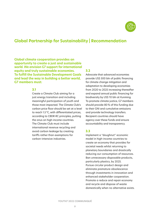

# **Global Partnership for Sustainability | Recommendation**

**Global climate cooperation provides an opportunity to create a just and sustainable world. We envision G7 support for international equity and truly sustainable economies. To fulfill the Sustainable Development Goals and lead the way in building a better world, G7 members must:**

#### **3.1**

Create a Climate Club aiming for a just energy transition and including meaningful participation of youth and those most impacted. The Climate Club's carbon price floor should be set at a level to reach 1.5 °C, with differentiated prices, according to CBDR-RC principles, putting the onus on high-income countries. The Climate Club must include international revenue recycling and avoid carbon leakage by creating tariffs rather than exemptions for carbon-intensive industries.

#### **3.2**

Advocate that advanced economies provide US\$ 500 bln of public financing for climate change mitigation and adaptation to developing economies from 2020 to 2025 increasing thereafter and expand annual public financing for biodiversity by US\$ 10 bln at Kunming. To promote climate justice, G7 members should provide 80% of this funding due to their GNI and cumulative emissions and provide technology transfers. Recipient countries should have agency over these funds and ensure accountability and transparency.

#### **3.3**

Implement a "doughnut'' economic model in high-income countries to create an economy that provides for societal needs whilst returning to planetary boundaries and drastically reducing our consumption of resources. Ban unnecessary disposable products, particularly plastics, by 2025. Pursue circular product design and eliminate premature obsolescence through investments in innovation and enhanced stakeholder cooperation. Promote a reduce and repair economy and recycle and dispose of waste domestically when no alternative exists.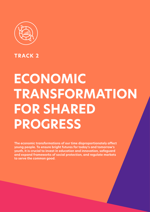

**TRACK 2**

# **ECONOMIC TRANSFORMATION FOR SHARED PROGRESS**

**The economic transformations of our time disproportionately affect young people. To ensure bright futures for today's and tomorrow's youth, it is crucial to invest in education and innovation, safeguard and expand frameworks of social protection, and regulate markets to serve the common good.**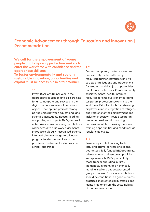

# **Economic Advancement through Education and Innovation | Recommendation**

**We call for the empowerment of young people and temporary protection seekers to enter the workforce with confidence and the appropriate skillsets.** 

**To foster environmentally and socially sustainable innovation, opportunities and capital must be accessible in a fair manner.** 

#### **1.1**

Invest 0.5 % of GDP per year in the appropriate education and skills training for all to adapt to and succeed in the digital and environmental transitions of jobs. Develop and promote strong partnerships between educational and scientific institutions, industry-leading companies, start-ups, MSMEs, and social enterprises to ensure young people have wider access to paid work placements. Introduce a globally-recognised, scienceinformed climate change certification program for decision-makers in the private and public sectors to promote ethical leadership.

#### **1.2**

Connect temporary protection seekers domestically and in sufficientlyresourced partner countries with civil society organisations and trade unions focused on providing job opportunities and labour protections. Create culturally sensitive, mental health-informed resources for employers on integrating temporary protection seekers into their workforce. Establish tools for retraining employees and reintegration of refugees and veterans for their employment and inclusion in society. Provide temporary protection seekers with working permissions while accessing the same training opportunities and conditions as regular employees.

#### **1.3**

Provide equitable financing tools including grants, concessional loans, guarantees, fully funded R&D programs, private equity, and venture capital for entrepreneurs, MSMEs, particularly those from or operating in rural, indigenous, migrant, and historically marginalised and underrepresented groups or areas. Financial contributions should be conditional on good business practices, market feasibility studies and mentorship to ensure the sustainability of the business model.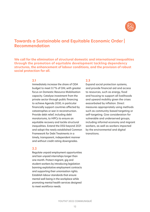

# **Towards a Sustainable and Equitable Economic Order | Recommendation**

**We call for the elimination of structural domestic and international inequalities through the promotion of equitable development tackling dependency structures, the enhancement of labour conditions, and the provision of robust social protection for all.**

#### **2.1**

Immediately increase the share of ODA budget to meet 0.7% of GNI, with greater focus on Domestic Resource Mobilisation capacity. Catalyse investment from the private sector through public financing to achieve Agenda 2030, in particular financially support countries affected by catastrophes or war in reconstruction. Provide debt relief, including debt moratoriums, to HIPCs to ensure an equitable recovery and tackle structural inequalities. Extend the DSSI beyond 2021 and adopt the newly established Common Framework for Debt Treatments in a timely, transparent, independent manner and without credit rating downgrades.

#### **2.2**

Regulate unpaid employment opportunities and ban unpaid internships longer than one month. Protect migrant, gig and student workers by introducing legislation banning exploitative employment contracts and supporting their unionisation rights. Establish labour standards that ensure mental well-being in the workplace while promoting mental health services designed to meet workforce needs.

#### **2.3**

Expand social protection systems, and provide financial aid and access to resources, such as energy, food and housing to support all livelihoods and upward mobility given the crises exacerbated by inflation. Direct measures appropriately using methods such as community-based targeting or self-targeting. Give consideration for vulnerable and underserved groups, including informal economy and migrant workers, as well as workers impacted by the environmental and digital transitions.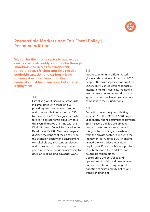

# **Responsible Markets and Fair Fiscal Policy | Recommendation**

**We call for the private sector to now act as one to exist sustainably, in particular through standards and access to transparent, reliable data. Efficient markets require equitable taxation and carbon pricing to reinvest in a just transition. Carbon neutrality must be a core object of capital deployment.**

#### **3.1**

Establish global disclosure standards in compliance with those of ISSB providing transparent, measurable and comparable information on ESG by the end of 2022. Design standards to involve all economic players with a transversal approach in line with the World Business Council for Sustainable Development's PSA. Mandate players to disclose the impact of their activity on the economy, society and environment to stakeholders, investors, employees and consumers, in order to provide youth with the information necessary for decision-making and advocacy work.

#### **3.2**

Introduce a fair and differentiated global carbon price no later than 2023. Support the swift implementation of the OECD's BEPS 2.0 regulations to tackle international tax injustices. Promote a just and transparent international tax system and ensure tax subjects remain compliant to their jurisdictions.

#### **3.3**

Commit to collectively contributing at least 50 % of the IPCC's US\$ 3.8 tln per year energy finance estimate to advance SDG 7. Ensure public development banks accelerate progress towards this goal by crowding-in investments from the private sector, in line with the Framework for Aligned SDG Financing. Immediately introduce legislation requiring MNCs and public companies to publish Scope 1, 2, and 3 carbonneutral transition plans. Decarbonise the portfolios and operations of public and development financial institutions, requiring full adoption of sustainability-linked and transition financing.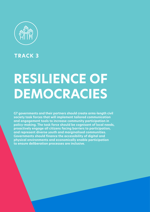

**TRACK 3**

# **RESILIENCE OF DEMOCRACIES**

**G7 governments and their partners should create arms-length civil society task forces that will implement tailored communication and engagement tools to increase community participation in policy-making. The task force should be cognisant of local needs, proactively engage all citizens facing barriers to participation, and represent diverse youth and marginalised communities. Governments should finance the accessibility of digital and physical environments and economically enable participation to ensure deliberation processes are inclusive.**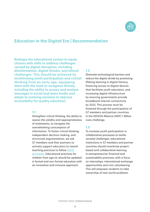

# **Education in the Digital Era | Recommendation**

**Reshape the educational system to equip citizens with skills to address challenges caused by digital disruption, including disinformation, digital threats, and ethical challenges. This should be achieved by incentivising youth participation and critical thinking from an early age, equipping them with the tools to recognise threats, including the ability to access and analyse messages in social and mass media and adapt to evolving societies to improve accessibility for quality education.**

#### **1.1**

Strengthen critical thinking, the ability to assess the validity and appropriateness of statements, to navigate the overwhelming consumption of information. To foster critical thinking, independent decision-making, and structured argumentation, we ask G7 members and their partners to actively support educators to rework teaching practices to follow [OECD](https://www.oecd.org/education/fostering-students-creativity-and-critical-thinking-62212c37-en.htm)  [principles](https://www.oecd.org/education/fostering-students-creativity-and-critical-thinking-62212c37-en.htm). Educational practices for children from age six should be updated in formal and non-formal education with an innovative and inclusive approach.

#### **1.2**

Eliminate technological barriers and reduce the digital divide by promoting lifelong learning in digital literacy, financing access to digital devices that facilitate youth education, and increasing digital infrastructure by ensuring governments provide broadband internet connectivity by 2025. This process must be fostered through the participation of G7 members and partner countries in the EDISON Alliance (WEF) 1 Billion Lives challenge.

#### **1.3**

To increase youth participation in collaborative processes to tackle societal challenges, educational institutions in G7 members and partner countries should incentivise projectbased and collaborative learning in entrepreneurial, financial and sustainability practices, with a focus on internships, international exchange opportunities and civic volunteering. This will empower students to take ownership of real-world problems.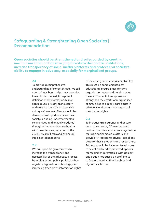

# **Safeguarding & Strenghtening Open Societies | Recommendation**

**Open societies should be strengthened and safeguarded by creating mechanisms that combat emerging threats to democratic institutions, increase transparency of social media platforms and protect civil society's ability to engage in advocacy, especially for marginalised groups.**

#### **2.1**

To provide a comprehensive understanding of current threats, we call upon G7 members and partner countries to establish a unified, transparent definition of disinformation, human rights abuse, privacy, online safety, and violent extremism to streamline unitary enforcement. These should be developed with partners across civil society, including underrepresented communities, and annually updated through an independent mechanism, with the outcomes presented at the 2023 G7 Summit followed by annual implementation reports.

#### **2.2**

We call upon G7 governments to increase the transparency and accessibility of the advocacy process by implementing public political lobby registers, legislation watchdogs, and improving freedom of information rights to increase government accountability. This must be complemented by educational programmes for civic organisation actors addressing using these instruments to empower and strengthen the efforts of marginalised communities to equally participate in advocacy and strengthen respect of their human rights.

#### **2.3**

To increase transparency and ensure good governance, G7 members and partner countries must ensure legislation for large social media platforms to provide API access to privacy-compliant data for thesis students and researchers. Settings should be included for all users to select and modify preferred options for recommender systems, with at least one option not based on profiling to safeguard against filter bubbles and algorithmic biases.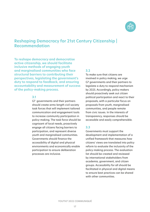

# **Reshaping Democracy for 21st Century Citizenship | Recommendation**

**To reshape democracy and democratise active citizenship, we should facilitate inclusive methods of engaging youth and marginalised communities who face structural barriers to contributing their perspectives, legislating the government's duty to respond to feedback, and ensuring accountability and measurement of success of the policy-making process.**

#### **3.1**

G7 governments and their partners should create arms-length civil society task forces that will implement tailored communication and engagement tools to increase community participation in policy-making. The task force should be cognisant of local needs, proactively engage all citizens facing barriers to participation, and represent diverse youth and marginalised communities. Governments should finance the accessibility of digital and physical environments and economically enable participation to ensure deliberation processes are inclusive.

#### **3.2**

To make sure that citizens are involved in policy making, we urge G7 governments and their partners to legislate a duty to respond mechanism by 2025. Accordingly, policy makers should proactively seek out citizen political participation and react to their proposals, with a particular focus on proposals from youth, marginalised communities, and people remote from civic issues. In the interests of transparency, responses should be accessible and easily comprehensible.

#### **3.3**

Governments must support the development and implementation of a unified framework that measures how citizens' views are translated into policy reform to evaluate the inclusivity of the policy-making process. The evaluation list should be created and reviewed by international stakeholders from academia, government, and citizen groups. Accessibility for all should be facilitated in physical and digital means to ensure best practices can be shared with other communities.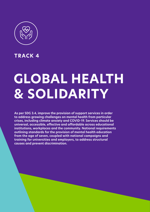

**TRACK 4**

# **GLOBAL HEALTH & SOLIDARITY**

**As per SDG 3.4, improve the provision of support services in order to address growing challenges on mental health from particular crises, including climate anxiety and COVID-19. Services should be universal, accessible, effective and affordable across educational institutions, workplaces and the community. National requirements outlining standards for the provision of mental health education from the age of seven, coupled with national campaigns and training for universities and employers, to address structural causes and prevent discrimination.**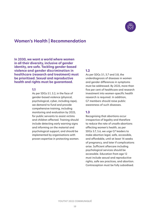

# **Women's Health | Recommendation**

**In 2030, we want a world where women in all their diversity, inclusive of gender identity, are safe. Tackling gender-based violence and gender discrimination in healthcare (research and treatment) must be prioritised. Sexual and reproductive health and rights must be guaranteed.**

#### **1.1**

As per SDGs 5.1, 5.2, in the face of gender-based violence (physical, psychological, cyber, including rape), we demand to fund and provide compehensive training, including monitoring and evaluation by 2025, for public servants to assist victims and children affected. Training should include detecting early warning signs and informing on the material and psychological support, and should be implemented by organisations with proven expertise in protecting women.

#### **1.2**

As per SDGs 3.1, 3.7 and 3.8, the underdiagnosis of diseases in women and gender differences in symptoms must be addressed. By 2025, more than five per cent of healthcare and research investment into women-specific health research is required. In addition, G7 members should raise public awareness of such diseases.

#### **1.3**

Recognising that abortions occur irrespective of legality and therefore to reduce the rate of unsafe abortions affecting women's health, as per SDGs 3.7, 5.6, we urge G7 leaders to make abortion legal, safe, accessible, and affordable, until at least 14 weeks of pregnancy, and later if complications arise. Sufficient aftercare including psychological services should be accessible. Education from age 12 must include sexual and reproductive rights, safe sex practices, and abortion. Contraception must be fully subsidised.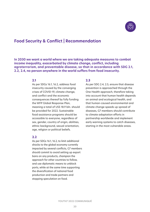

# **Food Security & Conflict | Recommendation**

**In 2030 we want a world where we are taking adequate measures to combat income inequality, exacerbated by climate change, conflict, including agroterrorism, and preventable disease, so that in accordance with SDG 2.1, 2.2, 2.4, no person anywhere in the world suffers from food insecurity.** 

#### **2.1**

As per SDGs 16.1, 16.2, address food insecurity caused by the converging crises of COVID-19, climate change, and conflict and the economic consequences thereof by fully funding the WFP Global Response Plan, meaning a total of US\$ 18.9 bln. should be provided for 2022. Sustainable food assistance programs should be accessible to everyone, regardless of sex, gender, country of origin, abilities, ethnic background, sexual orientation, age, religion or political beliefs.

#### **2.2**

As per SDGs 16.1, 16.2, to limit additional shocks to the global economy currently impacted by several conflicts, G7 members should commit to avoid setting up export bans on any products, champion the approach for other countries to follow, and use diplomatic means to unblock ports, while at the same time supporting the diversification of national food production and trade partners and stopping speculation on food.

#### **2.3**

As per SDG 2.4, 2.5, ensure that disease prevention is approached through the One Health approach, therefore taking into account that human health depends on animal and ecological health, and that human-caused environmental and climate change speeds up spread of diseases, G7 members should contribute to climate adaptation efforts in partnership worldwide and implement early warning systems to catch diseases, starting in the most vulnerable areas.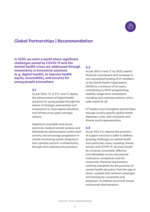

# **Global Partnerships | Recommendation**

**In 2030, we want a world where significant challenges posed by COVID-19 and the mental health crises are addressed through investments in innovative solutions (e.g. digital health), to improve health equity, accessibility, and security for young people everywhere.** 

#### **3.1**

As per SDGs 1.5, 3, 9.1.1, and 17, deploy the advancement of digital health solutions for young people through the means of strategic partnerships and investments to close digital education and infrastructure gaps amongst nations.

Implement accessible and secure electronic medical records systems and telemedicine advancements within each country, and encourage progression in remote monitoring system integration that upholds patient confidentiality through strict cybersecurity practices.

#### **3.2**

As per SDGs 3 and 17, by 2025, extend financial commitment with increases in non-earmarked funding of G7 members to the World Health Organization (WHO) to a minimum of six years, contributing to WHO programming stability, longer-term investments including early warning systems, and a safer world for all.

G7 leaders must strengthen partnerships through country-specific global health diplomacy units, with consistent and diverse youth representation.

#### **3.3**

As per SDG 3.4, improve the provision of support services in order to address growing challenges on mental health from particular crises, including climate anxiety and COVID-19. Services should be universal, accessible, effective and affordable across educational institutions, workplaces and the community. National requirements outlining standards for the provision of mental health education from the age of seven, coupled with national campaigns and training for universities and employers, to address structural causes and prevent discrimination.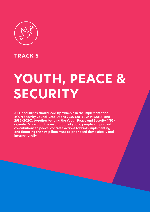

**TRACK 5**

# **YOUTH, PEACE & SECURITY**

**All G7 countries should lead by example in the implementation of UN Security Council Resolutions 2250 (2015), 2419 (2018) and 2535 (2020), together building the Youth, Peace and Security (YPS) agenda. More than the recognition of young people's important contributions to peace, concrete actions towards implementing and financing the YPS pillars must be prioritised domestically and internationally.**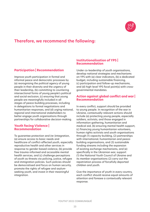

# **Therefore, we recommend the following:**

#### **Participation | Recommendation**

Improve youth participation in formal and informal peace and democratic processes by (a) reorognising the political agency of young people in their diversity and the urgency of their leadership, (b) committing to countering intersectional forms of young people's political and social exclusion, (c) ensuring that young people are meaningfully included in all stages of peace-building processes, including in delegations to formal negotiations and humanitarian responses, and (d) urging national, regional and international stakeholders to better engage youth organisations through partnerships for collaborative decision-making.

#### **Youth facing Violence | Recommendation**

To guarantee protection and (re-)integration, (a) ensure access to basic needs and healthcare of conflict-affected youth, especially reproductive health and other services in response to gender-based violence, (b) provide free trauma-informed and accessible mental health services, and (c) challenge perceptions of youth as threats via policing, justice, refugee and immigration policies. Such policies should be democratised and focus on human security, promote the rights of refugee and asylumseeking youth, and invest in their meaningful integration.

#### **Institutionalisation of YPS | Recommendation**

Under co-leadership of youth organisations, develop national strategies and mechanisms on YPS with (a) clear indicators, (b) a dedicated budget, including sustainable financing, (c) participation and follow-up mechanisms, and (d) high-level YPS focal point(s) with crossgovernmental mandates.

#### **Action against global conflict and war | Recommendation**

In every conflict, support should be provided to young people. In recognition of the war in Ukraine, contextually-relevant actions should include (a) protecting young people, especially soldiers, activists, and those engaged in information gathering, humanitarian and medical aid, (b) ensuring mental health support, (c) financing young humanitarian volunteers, human rights activists and youth organisations through (1) capacity-building, (2) partnerships with international, humanitarian and peacebuilding organisations, and (3) sustainable funding streams including the expansion of existing exchange mechanisms, and (e) specifically in the Ukrainian war, support (1) the National Youth Council of Ukraine and its member organisations (2) carry out the repatriation process of forcefully deported children and youth.

Give the importance of youth in every country, each conflict should receive equal amounts of attention and foresee a contextually relevant response.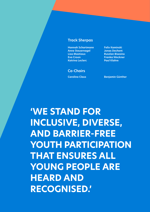#### **Track Sherpas**

**Hannah Schartmann Felix Kaminski Anne Steuernagel Jonas Dechent Lisa Mastiaux Ruszlan Biwoino Eva Croon Franka Weckner Katrina Leclerc Paul Klahre** 

### **Co-Chairs**

**Carolina Claus Benjamin Günther** 

**'WE STAND FOR INCLUSIVE, DIVERSE, AND BARRIER-FREE YOUTH PARTICIPATION THAT ENSURES ALL YOUNG PEOPLE ARE HEARD AND RECOGNISED.'**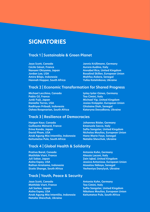# **SIGNATORIES**

## **Track 1 | Sustainable & Green Planet**

**Cécile Génot, France Aurora Audino, Italy Aurora Audino, Italy Amira Bilgis, Indonesia Mahfou Aidara, Senegal Hannah Hopper, South Africa Kotelnikova, Ukraine** 

**Jaya Scott, Canada Jannis Krüßmann, Germany Nanami Okiyama, Japan Annabel Rice, United Kingdom Jordan Lee, USA Rosalind Skillen, European Union**

### **Track 2 | Economic Transformation for Shared Progress**

**Michael Lecchino, Canada Islay Islay Islam-Günes, Germany Pablo Gil, France Tea Cimini, Italy Junki Fujii, Japan Michael Yip, United Kingdom Radhiyan Pribadi, Indonesia Ghislaine Dioh, Senegal Oshea Roopnarian, South Africa Kateryna Davydkova, Ukraine** 

**Daniella Torres, USA Josias Knöppler, European Union**

### **Track 3 | Resilience of Democracies**

**Hargun Kaur, Canada Johannes Röder, Germany Guillaume Ménard, France Emanuele Sacco, Italy Erina Kondo, Japan Safia Sangster, United Kingdom David Pham, USA Nicholas Moulios, European Union Anak Agung Mia Intentilia, Indonesia Hane Marie Faye, Senegal** Keitumetse Pule, South Africa **Natalia Shevchuk, Ukraine** 

### **Track 4 | Global Health & Solidarity**

**Prativa Baral, Canada Antonia Kuhn, Germany Mathilde Viart, France Alessio Laconi, Italy Juli Sakar, Japan Zain Iqbal, United Kingdom Raihan Ariatama, Indonesia Aissatou Ndiaye, Senegal**

## **Track | Youth, Peace & Security**

**Jaya Scott, Canada Antonia Kuhn, Germany Mathilde Viart, France Tea Cimini, Italy Juli Sarkar, Japan Safia Sangster, United Kingdom Aisha Espey, USA Nikolaos Moulios, European Union Anak Agung Mia Intentilia, Indonesia Keitumetse Pule, South Africa Natalia Shevchuk, Ukraine**

**Aisha Espey, USA Jessica Antonisse, European Union Sicelo Shange, South Africa Yevheniya Danylyuk, Ukraine**